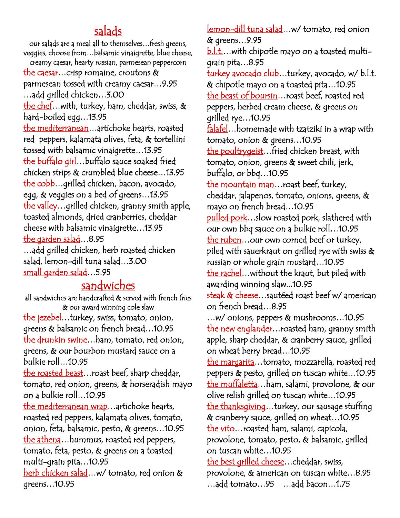# salads

our salads are a meal all to themselves…fresh greens, veggies, choose from…balsamic vinaigrette, blue cheese, creamy caesar, hearty russian, parmesean peppercorn the caesar…crisp romaine, croutons & parmesean tossed with creamy caesar…9.95 …add grilled chicken…3.00 the chef...with, turkey, ham, cheddar, swiss, & hard-boiled egg…13.95 the mediterranean…artichoke hearts, roasted red peppers, kalamata olives, feta, & tortellini tossed with balsamic vinaigrette…13.95 the buffalo girl...buffalo sauce soaked fried chicken strips & crumbled blue cheese…13.95 the cobb…grilled chicken, bacon, avocado, egg, & veggies on a bed of greens…13.95 the valley...grilled chicken, granny smith apple, toasted almonds, dried cranberries, cheddar cheese with balsamic vinaigrette…13.95 the garden salad…8.95 …add grilled chicken, herb roasted chicken salad, lemon-dill tuna salad…3.00

small garden salad…5.95

## sandwiches

all sandwiches are handcrafted & served with french fries & our award winning cole slaw the jezebel…turkey, swiss, tomato, onion, greens & balsamic on french bread…10.95 the drunkin swine…ham, tomato, red onion, greens, & our bourbon mustard sauce on a bulkie roll…10.95

the roasted beast... roast beef, sharp cheddar, tomato, red onion, greens, & horseradish mayo on a bulkie roll…10.95

the mediterranean wrap…artichoke hearts, roasted red peppers, kalamata olives, tomato, onion, feta, balsamic, pesto, & greens…10.95 the athena...hummus, roasted red peppers, tomato, feta, pesto, & greens on a toasted multi-grain pita…10.95

herb chicken salad…w/ tomato, red onion & greens…10.95

lemon-dill tuna salad…w/ tomato, red onion & greens…9.95  $\underline{\text{b.l.t.}}$ ...with chipotle mayo on a toasted multigrain pita…8.95 turkey avocado club...turkey, avocado, w/ b.l.t. & chipotle mayo on a toasted pita…10.95 the beast of boursin…roast beef, roasted red peppers, herbed cream cheese, & greens on grilled rye…10.95 falafel…homemade with tzatziki in a wrap with tomato, onion & greens…10.95 the poultrygeist...fried chicken breast, with tomato, onion, greens & sweet chili, jerk, buffalo, or bbq…10.95 the mountain man...roast beef, turkey, cheddar, jalapenos, tomato, onions, greens, & mayo on french bread…10.95 pulled pork…slow roasted pork, slathered with our own bbq sauce on a bulkie roll…10.95 the ruben...our own corned beef or turkey, piled with sauerkraut on grilled rye with swiss  $\&$ russian or whole grain mustard…10.95 the rachel...without the kraut, but piled with awarding winning slaw...10.95 steak & cheese…sautéed roast beef w/ american on french bread…8.95 …w/ onions, peppers & mushrooms…10.95 the new englander...roasted ham, granny smith apple, sharp cheddar, & cranberry sauce, grilled on wheat berry bread…10.95 the margarita…tomato, mozzarella, roasted red peppers & pesto, grilled on tuscan white…10.95 the muffaletta…ham, salami, provolone, & our olive relish grilled on tuscan white…10.95 the thanksgiving…turkey, our sausage stuffing & cranberry sauce, grilled on wheat…10.95 the vito…roasted ham, salami, capicola, provolone, tomato, pesto, & balsamic, grilled on tuscan white…10.95 the best grilled cheese...cheddar, swiss, provolone, & american on tuscan white…8.95 …add tomato…95 …add bacon…1.75